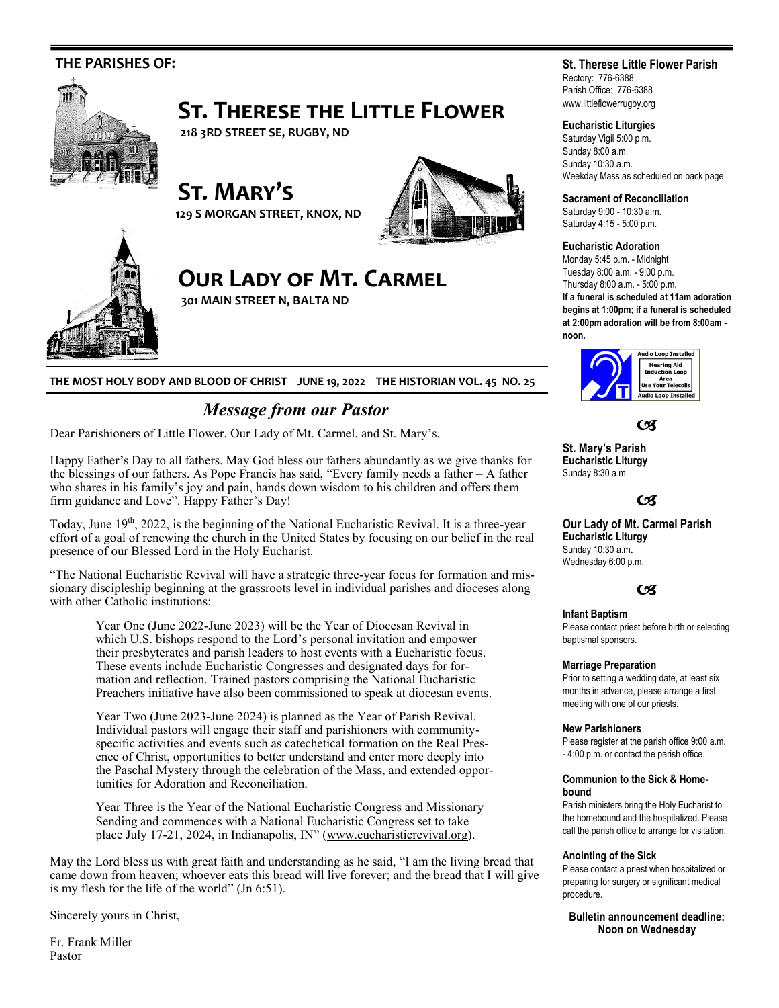

**THE MOST HOLY BODY AND BLOOD OF CHRIST JUNE 19, 2022 THE HISTORIAN VOL. 45 NO. 25**

# *Message from our Pastor*

Dear Parishioners of Little Flower, Our Lady of Mt. Carmel, and St. Mary's,

Happy Father's Day to all fathers. May God bless our fathers abundantly as we give thanks for the blessings of our fathers. As Pope Francis has said, "Every family needs a father – A father who shares in his family's joy and pain, hands down wisdom to his children and offers them firm guidance and Love". Happy Father's Day!

Today, June 19<sup>th</sup>, 2022, is the beginning of the National Eucharistic Revival. It is a three-year effort of a goal of renewing the church in the United States by focusing on our belief in the real presence of our Blessed Lord in the Holy Eucharist.

"The National Eucharistic Revival will have a strategic three-year focus for formation and missionary discipleship beginning at the grassroots level in individual parishes and dioceses along with other Catholic institutions:

Year One (June 2022-June 2023) will be the Year of Diocesan Revival in which U.S. bishops respond to the Lord's personal invitation and empower their presbyterates and parish leaders to host events with a Eucharistic focus. These events include Eucharistic Congresses and designated days for formation and reflection. Trained pastors comprising the National Eucharistic Preachers initiative have also been commissioned to speak at diocesan events.

Year Two (June 2023-June 2024) is planned as the Year of Parish Revival. Individual pastors will engage their staff and parishioners with communityspecific activities and events such as catechetical formation on the Real Presence of Christ, opportunities to better understand and enter more deeply into the Paschal Mystery through the celebration of the Mass, and extended opportunities for Adoration and Reconciliation.

Year Three is the Year of the National Eucharistic Congress and Missionary Sending and commences with a National Eucharistic Congress set to take place July 17-21, 2024, in Indianapolis, IN" ([www.eucharisticrevival.org\)](http://www.eucharisticrevival.org).

May the Lord bless us with great faith and understanding as he said, "I am the living bread that came down from heaven; whoever eats this bread will live forever; and the bread that I will give is my flesh for the life of the world" (Jn 6:51).

Sincerely yours in Christ,

Fr. Frank Miller Pastor

## **St. Therese Little Flower Parish**

Rectory: 776-6388 Parish Office: 776-6388 www.littleflowerrugby.org

## **Eucharistic Liturgies**

Saturday Vigil 5:00 p.m. Sunday 8:00 a.m. Sunday 10:30 a.m. Weekday Mass as scheduled on back page

**Sacrament of Reconciliation**

Saturday 9:00 - 10:30 a.m. Saturday 4:15 - 5:00 p.m.

### **Eucharistic Adoration**

Monday 5:45 p.m. - Midnight Tuesday 8:00 a.m. - 9:00 p.m. Thursday 8:00 a.m. - 5:00 p.m. **If a funeral is scheduled at 11am adoration begins at 1:00pm; if a funeral is scheduled at 2:00pm adoration will be from 8:00am noon.** 



 $C<sub>3</sub>$ 

**St. Mary's Parish Eucharistic Liturgy**  Sunday 8:30 a.m.

## $C<sup>q</sup>$

### **Our Lady of Mt. Carmel Parish Eucharistic Liturgy**  Sunday 10:30 a.m**.**  Wednesday 6:00 p.m.

## $C<sub>3</sub>$

### **Infant Baptism**

Please contact priest before birth or selecting baptismal sponsors.

#### **Marriage Preparation**

Prior to setting a wedding date, at least six months in advance, please arrange a first meeting with one of our priests.

#### **New Parishioners**

Please register at the parish office 9:00 a.m. - 4:00 p.m. or contact the parish office.

#### **Communion to the Sick & Homebound**

Parish ministers bring the Holy Eucharist to the homebound and the hospitalized. Please call the parish office to arrange for visitation.

#### **Anointing of the Sick**

Please contact a priest when hospitalized or preparing for surgery or significant medical procedure.

**Bulletin announcement deadline: Noon on Wednesday**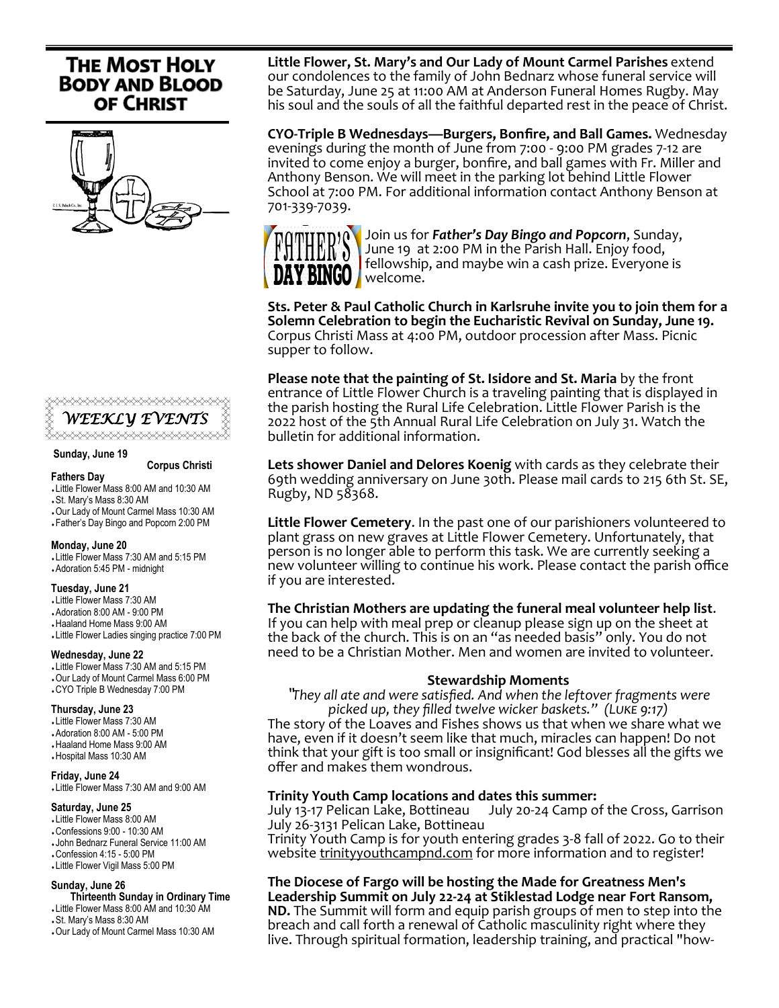# **THE MOST HOLY BODY AND BLOOD OF CHRIST**





#### **Sunday, June 19**

#### **Corpus Christi**

#### **Fathers Day**

- Little Flower Mass 8:00 AM and 10:30 AM
- St. Mary's Mass 8:30 AM
- Our Lady of Mount Carmel Mass 10:30 AM Father's Day Bingo and Popcorn 2:00 PM

### **Monday, June 20**

 Little Flower Mass 7:30 AM and 5:15 PM Adoration 5:45 PM - midnight

#### **Tuesday, June 21**

- Little Flower Mass 7:30 AM
- Adoration 8:00 AM 9:00 PM
- Haaland Home Mass 9:00 AM
- Little Flower Ladies singing practice 7:00 PM

#### **Wednesday, June 22**

 Little Flower Mass 7:30 AM and 5:15 PM Our Lady of Mount Carmel Mass 6:00 PM CYO Triple B Wednesday 7:00 PM

#### **Thursday, June 23**

- Little Flower Mass 7:30 AM Adoration 8:00 AM - 5:00 PM Haaland Home Mass 9:00 AM
- Hospital Mass 10:30 AM

#### **Friday, June 24**

Little Flower Mass 7:30 AM and 9:00 AM

### **Saturday, June 25**

 Little Flower Mass 8:00 AM Confessions 9:00 - 10:30 AM John Bednarz Funeral Service 11:00 AM Confession 4:15 - 5:00 PM

## Little Flower Vigil Mass 5:00 PM

#### **Sunday, June 26**

 **Thirteenth Sunday in Ordinary Time**  Little Flower Mass 8:00 AM and 10:30 AM

- St. Mary's Mass 8:30 AM
- Our Lady of Mount Carmel Mass 10:30 AM

**Little Flower, St. Mary's and Our Lady of Mount Carmel Parishes** extend our condolences to the family of John Bednarz whose funeral service will be Saturday, June 25 at 11:00 AM at Anderson Funeral Homes Rugby. May his soul and the souls of all the faithful departed rest in the peace of Christ.

**CYO-Triple B Wednesdays—Burgers, Bonfire, and Ball Games.** Wednesday evenings during the month of June from 7:00 - 9:00 PM grades 7-12 are invited to come enjoy a burger, bonfire, and ball games with Fr. Miller and Anthony Benson. We will meet in the parking lot behind Little Flower School at 7:00 PM. For additional information contact Anthony Benson at 701-339-7039.



Join us for *Father's Day Bingo and Popcorn*, Sunday, June 19 at 2:00 PM in the Parish Hall. Enjoy food, fellowship, and maybe win a cash prize. Everyone is **BINGO welcome.** 

**Sts. Peter & Paul Catholic Church in Karlsruhe invite you to join them for a Solemn Celebration to begin the Eucharistic Revival on Sunday, June 19.**  Corpus Christi Mass at 4:00 PM, outdoor procession after Mass. Picnic supper to follow.

**Please note that the painting of St. Isidore and St. Maria** by the front entrance of Little Flower Church is a traveling painting that is displayed in the parish hosting the Rural Life Celebration. Little Flower Parish is the 2022 host of the 5th Annual Rural Life Celebration on July 31. Watch the bulletin for additional information.

**Lets shower Daniel and Delores Koenig** with cards as they celebrate their 69th wedding anniversary on June 30th. Please mail cards to 215 6th St. SE, Rugby, ND 58368.

**Little Flower Cemetery**. In the past one of our parishioners volunteered to plant grass on new graves at Little Flower Cemetery. Unfortunately, that person is no longer able to perform this task. We are currently seeking a new volunteer willing to continue his work. Please contact the parish office if you are interested.

## **The Christian Mothers are updating the funeral meal volunteer help list**.

If you can help with meal prep or cleanup please sign up on the sheet at the back of the church. This is on an "as needed basis" only. You do not need to be a Christian Mother. Men and women are invited to volunteer.

## **Stewardship Moments**

"*They all ate and were satisfied. And when the leftover fragments were picked up, they filled twelve wicker baskets." (Luke 9:17)*

The story of the Loaves and Fishes shows us that when we share what we have, even if it doesn't seem like that much, miracles can happen! Do not think that your gift is too small or insignificant! God blesses all the gifts we offer and makes them wondrous.

**Trinity Youth Camp locations and dates this summer:** July 20-24 Camp of the Cross, Garrison July 26-3131 Pelican Lake, Bottineau

Trinity Youth Camp is for youth entering grades 3-8 fall of 2022. Go to their website [trinityyouthcampnd.com](http://trinityyouthcampnd.com) for more information and to register!

**The Diocese of Fargo will be hosting the Made for Greatness Men's Leadership Summit on July 22-24 at Stiklestad Lodge near Fort Ransom, ND.** The Summit will form and equip parish groups of men to step into the breach and call forth a renewal of Catholic masculinity right where they live. Through spiritual formation, leadership training, and practical "how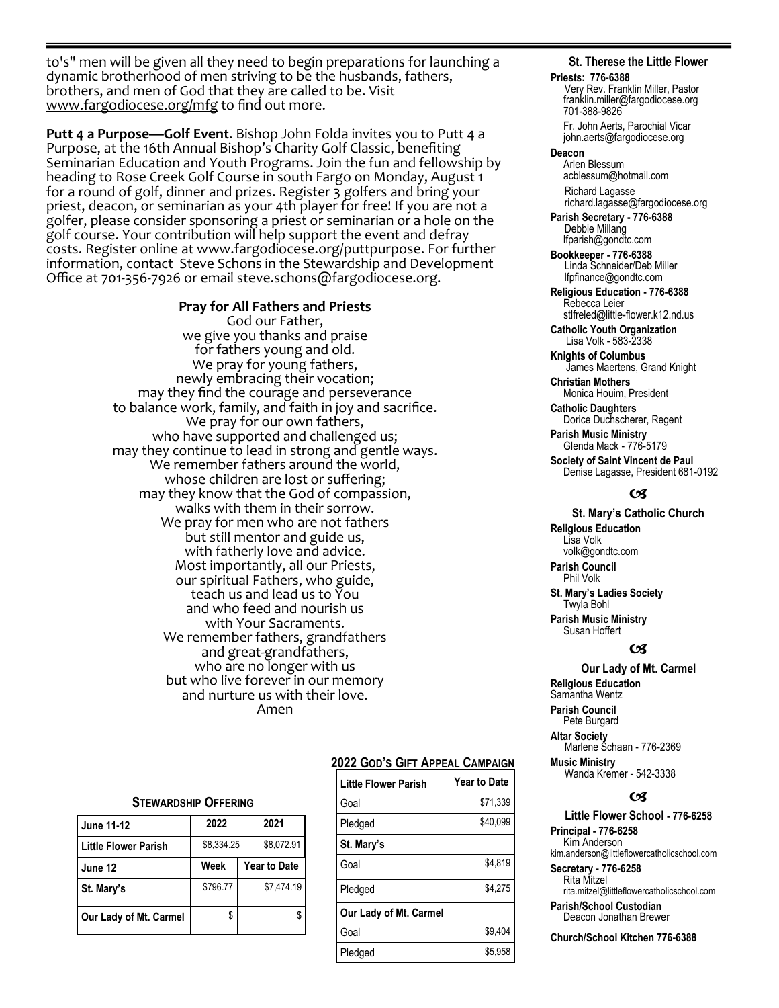to's" men will be given all they need to begin preparations for launching a dynamic brotherhood of men striving to be the husbands, fathers, brothers, and men of God that they are called to be. Visit [www.fargodiocese.org/mfg](http://www.fargodiocese.org/mfg) to find out more.

**Putt 4 a Purpose—Golf Event**. Bishop John Folda invites you to Putt 4 a Purpose, at the 16th Annual Bishop's Charity Golf Classic, benefiting Seminarian Education and Youth Programs. Join the fun and fellowship by heading to Rose Creek Golf Course in south Fargo on Monday, August 1 for a round of golf, dinner and prizes. Register 3 golfers and bring your priest, deacon, or seminarian as your 4th player for free! If you are not a golfer, please consider sponsoring a priest or seminarian or a hole on the golf course. Your contribution will help support the event and defray costs. Register online at www.fargodiocese.org/puttpurpose. For further information, contact Steve Schons in the Stewardship and Development Office at 701-356-7926 or email <u>steve.schons@fargodiocese.org</u>.

## **Pray for All Fathers and Priests**

God our Father, we give you thanks and praise for fathers young and old. We pray for young fathers, newly embracing their vocation; may they find the courage and perseverance to balance work, family, and faith in joy and sacrifice. We pray for our own fathers, who have supported and challenged us; may they continue to lead in strong and gentle ways. We remember fathers around the world, whose children are lost or suffering; may they know that the God of compassion, walks with them in their sorrow. We pray for men who are not fathers but still mentor and guide us, with fatherly love and advice. Most importantly, all our Priests, our spiritual Fathers, who guide, teach us and lead us to You and who feed and nourish us with Your Sacraments. We remember fathers, grandfathers and great-grandfathers, who are no longer with us but who live forever in our memory and nurture us with their love. Amen

## **STEWARDSHIP OFFERING**

| <b>June 11-12</b>           | 2022       | 2021                |  |  |
|-----------------------------|------------|---------------------|--|--|
| <b>Little Flower Parish</b> | \$8,334.25 | \$8,072.91          |  |  |
| June 12                     | Week       | <b>Year to Date</b> |  |  |
| St. Mary's                  | \$796.77   | \$7.474.19          |  |  |
| Our Lady of Mt. Carmel      | \$         |                     |  |  |

## **2022 GOD'S GIFT APPEAL CAMPAIGN**

| Little Flower Parish   | <b>Year to Date</b> |
|------------------------|---------------------|
| Goal                   | \$71,339            |
| Pledged                | \$40,099            |
| St. Mary's             |                     |
| Goal                   | \$4,819             |
| Pledged                | \$4.275             |
| Our Lady of Mt. Carmel |                     |
| Goal                   | \$9.404             |
| Pledged                | \$5.958             |

## **St. Therese the Little Flower**

#### **Priests: 776-6388**

Very Rev. Franklin Miller, Pastor franklin.miller@fargodiocese.org 701-388-9826

 Fr. John Aerts, Parochial Vicar john.aerts@fargodiocese.org

## **Deacon**

 Arlen Blessum acblessum@hotmail.com Richard Lagasse richard.lagasse@fargodiocese.org

**Parish Secretary - 776-6388** Debbie Millang lfparish@gondtc.com

**Bookkeeper - 776-6388** Linda Schneider/Deb Miller lfpfinance@gondtc.com

**Religious Education - 776-6388** Rebecca Leier [stlfreled@little-flower.k12.nd.us](mailto:stlfreled@little-flower.k12.nd.us) 

**Catholic Youth Organization** Lisa Volk - 583-2338

**Knights of Columbus** James Maertens, Grand Knight

**Christian Mothers** Monica Houim, President

**Catholic Daughters** Dorice Duchscherer, Regent **Parish Music Ministry**

Glenda Mack - 776-5179

**Society of Saint Vincent de Paul** Denise Lagasse, President 681-0192

## (x

## **St. Mary's Catholic Church**

**Religious Education**  Lisa Volk volk@gondtc.com **Parish Council** 

Phil Volk

**St. Mary's Ladies Society**  Twyla Bohl **Parish Music Ministry**

 Susan Hoffert  $\alpha$ 

# **Our Lady of Mt. Carmel**

**Religious Education**  Samantha Wentz **Parish Council**  Pete Burgard **Altar Society**  Marlene Schaan - 776-2369

**Music Ministry** Wanda Kremer - 542-3338

#### $\epsilon$

**Little Flower School - 776-6258 Principal - 776-6258** Kim Anderson kim.anderson@littleflowercatholicschool.com

**Secretary - 776-6258** Rita Mitzel rita.mitzel@littleflowercatholicschool.com

**Parish/School Custodian** Deacon Jonathan Brewer

**Church/School Kitchen 776-6388**